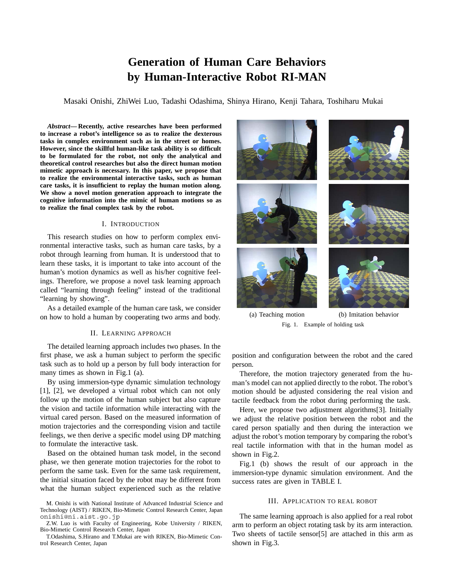# **Generation of Human Care Behaviors by Human-Interactive Robot RI-MAN**

Masaki Onishi, ZhiWei Luo, Tadashi Odashima, Shinya Hirano, Kenji Tahara, Toshiharu Mukai

*Abstract***— Recently, active researches have been performed to increase a robot's intelligence so as to realize the dexterous tasks in complex environment such as in the street or homes. However, since the skillful human-like task ability is so difficult to be formulated for the robot, not only the analytical and theoretical control researches but also the direct human motion mimetic approach is necessary. In this paper, we propose that to realize the environmental interactive tasks, such as human care tasks, it is insufficient to replay the human motion along. We show a novel motion generation approach to integrate the cognitive information into the mimic of human motions so as to realize the final complex task by the robot.**

### I. INTRODUCTION

This research studies on how to perform complex environmental interactive tasks, such as human care tasks, by a robot through learning from human. It is understood that to learn these tasks, it is important to take into account of the human's motion dynamics as well as his/her cognitive feelings. Therefore, we propose a novel task learning approach called "learning through feeling" instead of the traditional "learning by showing".

As a detailed example of the human care task, we consider on how to hold a human by cooperating two arms and body.

#### II. LEARNING APPROACH

The detailed learning approach includes two phases. In the first phase, we ask a human subject to perform the specific task such as to hold up a person by full body interaction for many times as shown in Fig.1 (a).

By using immersion-type dynamic simulation technology [1], [2], we developed a virtual robot which can not only follow up the motion of the human subject but also capture the vision and tactile information while interacting with the virtual cared person. Based on the measured information of motion trajectories and the corresponding vision and tactile feelings, we then derive a specific model using DP matching to formulate the interactive task.

Based on the obtained human task model, in the second phase, we then generate motion trajectories for the robot to perform the same task. Even for the same task requirement, the initial situation faced by the robot may be different from what the human subject experienced such as the relative



(a) Teaching motion (b) Imitation behavior Fig. 1. Example of holding task

position and configuration between the robot and the cared person.

Therefore, the motion trajectory generated from the human's model can not applied directly to the robot. The robot's motion should be adjusted considering the real vision and tactile feedback from the robot during performing the task.

Here, we propose two adjustment algorithms[3]. Initially we adjust the relative position between the robot and the cared person spatially and then during the interaction we adjust the robot's motion temporary by comparing the robot's real tactile information with that in the human model as shown in Fig.2.

Fig.1 (b) shows the result of our approach in the immersion-type dynamic simulation environment. And the success rates are given in TABLE I.

## III. APPLICATION TO REAL ROBOT

The same learning approach is also applied for a real robot arm to perform an object rotating task by its arm interaction. Two sheets of tactile sensor[5] are attached in this arm as shown in Fig.3.

M. Onishi is with National Institute of Advanced Industrial Science and Technology (AIST) / RIKEN, Bio-Mimetic Control Research Center, Japan onishi@ni.aist.go.jp

Z.W. Luo is with Faculty of Engineering, Kobe University / RIKEN, Bio-Mimetic Control Research Center, Japan

T.Odashima, S.Hirano and T.Mukai are with RIKEN, Bio-Mimetic Control Research Center, Japan